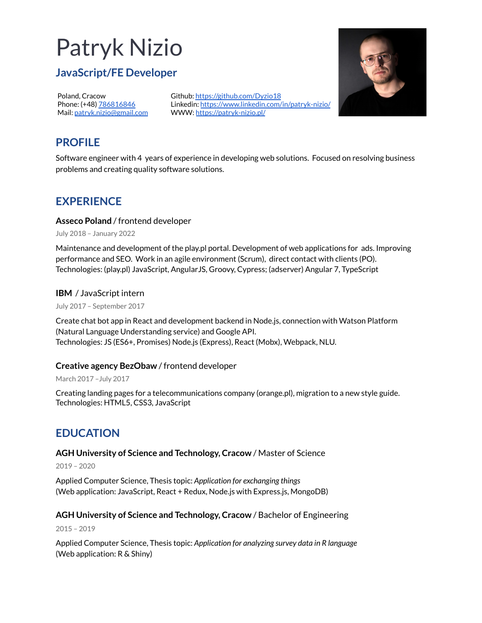# Patryk Nizio

## **JavaScript/FE Developer**

Poland, Cracow Phone: (+48) [786816846](tel:+48786816846) Mail: [patryk.nizio@gmail.com](mailto:patryk.nizio@gmail.com) Github: <https://github.com/Dyzio18> Linkedin: <https://www.linkedin.com/in/patryk-nizio/> WWW: <https://patryk-nizio.pl/>



# **PROFILE**

Software engineer with 4 years of experience in developing web solutions. Focused on resolving business problems and creating quality software solutions.

## **EXPERIENCE**

## **Asseco Poland** / frontend developer

July 2018 – January 2022

Maintenance and development of the play.pl portal. Development of web applications for ads. Improving performance and SEO. Work in an agile environment (Scrum), direct contact with clients (PO). Technologies: (play.pl) JavaScript, AngularJS, Groovy, Cypress; (adserver) Angular 7, TypeScript

## **IBM** / JavaScript intern

July 2017 – September 2017

Create chat bot app in React and development backend in Node.js, connection with Watson Platform (Natural Language Understanding service) and Google API. Technologies: JS (ES6+, Promises) Node.js (Express), React (Mobx), Webpack, NLU.

## **Creative agency BezObaw** / frontend developer

March 2017 –July 2017

Creating landing pages for a telecommunications company (orange.pl), migration to a new style guide. Technologies: HTML5, CSS3, JavaScript

# **EDUCATION**

## **AGH University of Science and Technology, Cracow** / Master of Science

2019 – 2020

Applied Computer Science, Thesis topic: *Application for exchanging things* (Web application: JavaScript, React + Redux, Node.js with Express.js, MongoDB)

## **AGH University of Science and Technology, Cracow** / Bachelor of Engineering

2015 – 2019

Applied Computer Science, Thesis topic: *Application for analyzing survey data in R language* (Web application: R & Shiny)